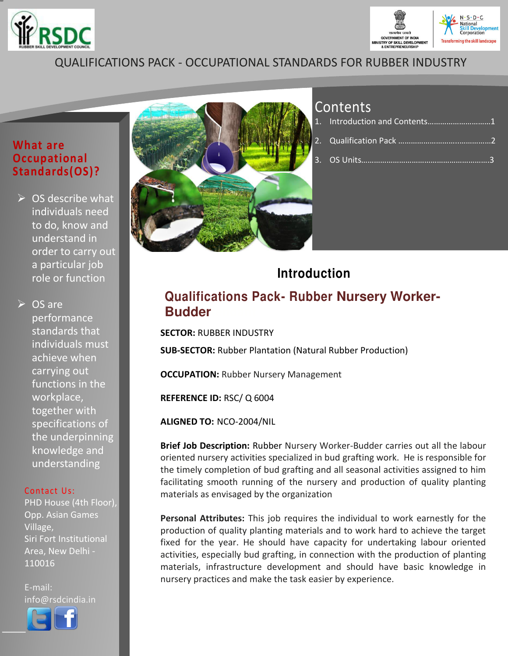



## QUALIFICATIONS PACK - OCCUPATIONAL STANDARDS FOR RUBBER INDUSTRY

#### **What are Occupational Standards(OS)?**

 $\triangleright$  OS describe what individuals need to do, know and understand in order to carry out a particular job role or function

 $\triangleright$  OS are performance standards that individuals must achieve when carrying out functions in the workplace, together with specifications of the underpinning knowledge and understanding

#### Contact Us:

PHD House (4th Floor), Opp. Asian Games Village, Siri Fort Institutional Area, New Delhi - 110016

E-mail: info@rsdcindia.in



l I



# Contents

# **Introduction**

### **Qualifications Pack- Rubber Nursery Worker-Budder**

**SECTOR:** RUBBER INDUSTRY

**SUB-SECTOR:** Rubber Plantation (Natural Rubber Production)

**OCCUPATION: Rubber Nursery Management** 

**REFERENCE ID:** RSC/ Q 6004

**ALIGNED TO:** NCO-2004/NIL

**Brief Job Description:** Rubber Nursery Worker-Budder carries out all the labour oriented nursery activities specialized in bud grafting work. He is responsible for the timely completion of bud grafting and all seasonal activities assigned to him facilitating smooth running of the nursery and production of quality planting materials as envisaged by the organization

**Personal Attributes:** This job requires the individual to work earnestly for the production of quality planting materials and to work hard to achieve the target fixed for the year. He should have capacity for undertaking labour oriented activities, especially bud grafting, in connection with the production of planting materials, infrastructure development and should have basic knowledge in nursery practices and make the task easier by experience.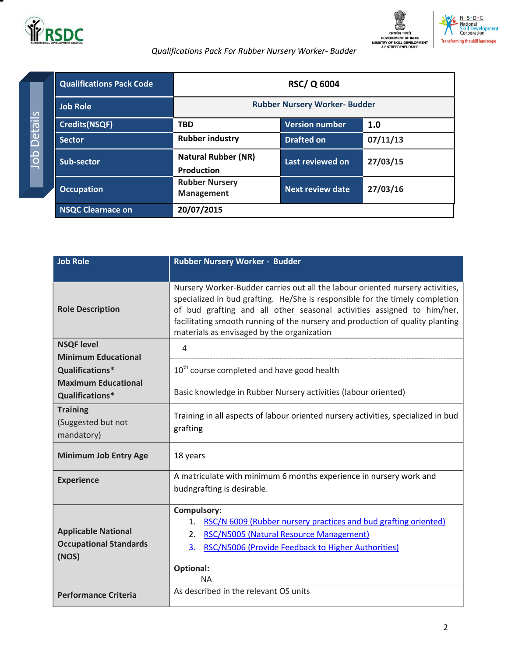



<span id="page-1-0"></span>

| <b>Qualifications Pack Code</b> |                                                 | <b>RSC/Q 6004</b>                    |          |
|---------------------------------|-------------------------------------------------|--------------------------------------|----------|
| <b>Job Role</b>                 |                                                 | <b>Rubber Nursery Worker- Budder</b> |          |
| <b>Credits(NSQF)</b>            | <b>TBD</b>                                      | <b>Version number</b>                | 1.0      |
| <b>Sector</b>                   | <b>Rubber industry</b>                          | <b>Drafted on</b>                    | 07/11/13 |
| Sub-sector                      | <b>Natural Rubber (NR)</b><br><b>Production</b> | Last reviewed on                     | 27/03/15 |
| <b>Occupation</b>               | <b>Rubber Nursery</b><br><b>Management</b>      | <b>Next review date</b>              | 27/03/16 |
| <b>NSQC Clearnace on</b>        | 20/07/2015                                      |                                      |          |

| <b>Job Role</b>                                                      | Rubber Nursery Worker - Budder                                                                                                                                                                                                                                                                                                                                         |  |  |
|----------------------------------------------------------------------|------------------------------------------------------------------------------------------------------------------------------------------------------------------------------------------------------------------------------------------------------------------------------------------------------------------------------------------------------------------------|--|--|
|                                                                      |                                                                                                                                                                                                                                                                                                                                                                        |  |  |
| <b>Role Description</b>                                              | Nursery Worker-Budder carries out all the labour oriented nursery activities,<br>specialized in bud grafting. He/She is responsible for the timely completion<br>of bud grafting and all other seasonal activities assigned to him/her,<br>facilitating smooth running of the nursery and production of quality planting<br>materials as envisaged by the organization |  |  |
| <b>NSQF level</b><br><b>Minimum Educational</b>                      | $\overline{4}$                                                                                                                                                                                                                                                                                                                                                         |  |  |
| Qualifications*                                                      | 10 <sup>th</sup> course completed and have good health                                                                                                                                                                                                                                                                                                                 |  |  |
| <b>Maximum Educational</b><br>Qualifications*                        | Basic knowledge in Rubber Nursery activities (labour oriented)                                                                                                                                                                                                                                                                                                         |  |  |
| <b>Training</b><br>(Suggested but not<br>mandatory)                  | Training in all aspects of labour oriented nursery activities, specialized in bud<br>grafting                                                                                                                                                                                                                                                                          |  |  |
| <b>Minimum Job Entry Age</b>                                         | 18 years                                                                                                                                                                                                                                                                                                                                                               |  |  |
| <b>Experience</b>                                                    | A matriculate with minimum 6 months experience in nursery work and<br>budngrafting is desirable.                                                                                                                                                                                                                                                                       |  |  |
| <b>Applicable National</b><br><b>Occupational Standards</b><br>(NOS) | <b>Compulsory:</b><br>RSC/N 6009 (Rubber nursery practices and bud grafting oriented)<br>1.<br>RSC/N5005 (Natural Resource Management)<br>2.<br>RSC/N5006 (Provide Feedback to Higher Authorities)<br>3.<br><b>Optional:</b><br><b>NA</b>                                                                                                                              |  |  |
| <b>Performance Criteria</b>                                          | As described in the relevant OS units                                                                                                                                                                                                                                                                                                                                  |  |  |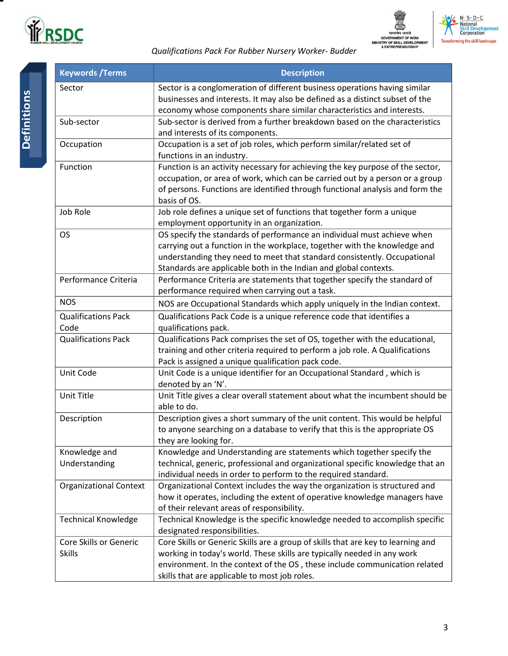





| <b>Keywords / Terms</b>                 | <b>Description</b>                                                                                                                                                                                                                                                                                   |
|-----------------------------------------|------------------------------------------------------------------------------------------------------------------------------------------------------------------------------------------------------------------------------------------------------------------------------------------------------|
| Sector                                  | Sector is a conglomeration of different business operations having similar<br>businesses and interests. It may also be defined as a distinct subset of the<br>economy whose components share similar characteristics and interests.                                                                  |
| Sub-sector                              | Sub-sector is derived from a further breakdown based on the characteristics<br>and interests of its components.                                                                                                                                                                                      |
| Occupation                              | Occupation is a set of job roles, which perform similar/related set of<br>functions in an industry.                                                                                                                                                                                                  |
| Function                                | Function is an activity necessary for achieving the key purpose of the sector,<br>occupation, or area of work, which can be carried out by a person or a group<br>of persons. Functions are identified through functional analysis and form the<br>basis of OS.                                      |
| Job Role                                | Job role defines a unique set of functions that together form a unique<br>employment opportunity in an organization.                                                                                                                                                                                 |
| <b>OS</b>                               | OS specify the standards of performance an individual must achieve when<br>carrying out a function in the workplace, together with the knowledge and<br>understanding they need to meet that standard consistently. Occupational<br>Standards are applicable both in the Indian and global contexts. |
| Performance Criteria                    | Performance Criteria are statements that together specify the standard of<br>performance required when carrying out a task.                                                                                                                                                                          |
| <b>NOS</b>                              | NOS are Occupational Standards which apply uniquely in the Indian context.                                                                                                                                                                                                                           |
| <b>Qualifications Pack</b><br>Code      | Qualifications Pack Code is a unique reference code that identifies a<br>qualifications pack.                                                                                                                                                                                                        |
| <b>Qualifications Pack</b>              | Qualifications Pack comprises the set of OS, together with the educational,<br>training and other criteria required to perform a job role. A Qualifications<br>Pack is assigned a unique qualification pack code.                                                                                    |
| Unit Code                               | Unit Code is a unique identifier for an Occupational Standard, which is<br>denoted by an 'N'.                                                                                                                                                                                                        |
| Unit Title                              | Unit Title gives a clear overall statement about what the incumbent should be<br>able to do.                                                                                                                                                                                                         |
| Description                             | Description gives a short summary of the unit content. This would be helpful<br>to anyone searching on a database to verify that this is the appropriate OS<br>they are looking for.                                                                                                                 |
| Knowledge and<br>Understanding          | Knowledge and Understanding are statements which together specify the<br>technical, generic, professional and organizational specific knowledge that an<br>individual needs in order to perform to the required standard.                                                                            |
| <b>Organizational Context</b>           | Organizational Context includes the way the organization is structured and<br>how it operates, including the extent of operative knowledge managers have<br>of their relevant areas of responsibility.                                                                                               |
| <b>Technical Knowledge</b>              | Technical Knowledge is the specific knowledge needed to accomplish specific<br>designated responsibilities.                                                                                                                                                                                          |
| Core Skills or Generic<br><b>Skills</b> | Core Skills or Generic Skills are a group of skills that are key to learning and<br>working in today's world. These skills are typically needed in any work<br>environment. In the context of the OS, these include communication related<br>skills that are applicable to most job roles.           |

Ξ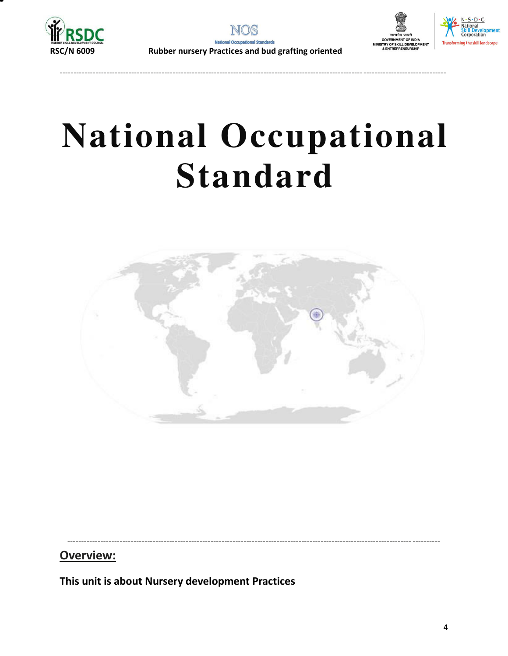

--------------------------------------------------------------------------------------------------------------------------------------------





# **National Occupational Standard**



----------------------------------------------------------------------------------------------------------------------------- ----------

**Overview:** 

<span id="page-3-0"></span>**This unit is about Nursery development Practices**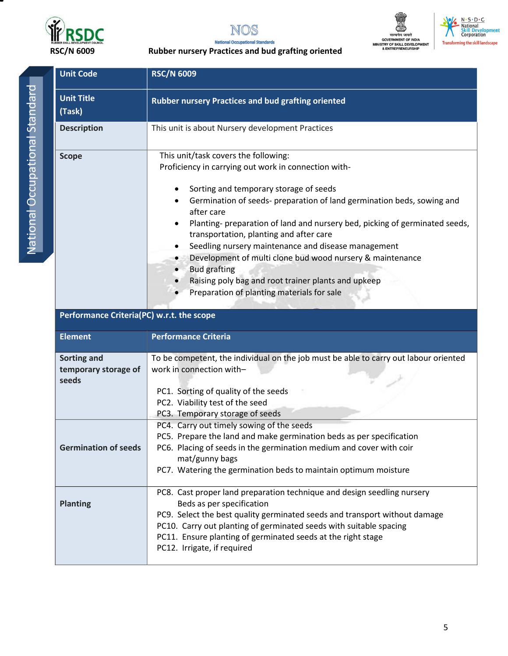



### **National Occupational Standards**



 $N \cdot S \cdot D \cdot C$ National<br>Skill Development<br>Corporation **Transforming the skill landscape** 

| <b>Unit Code</b>                          | <b>RSC/N 6009</b>                                                                                                                           |  |  |
|-------------------------------------------|---------------------------------------------------------------------------------------------------------------------------------------------|--|--|
| <b>Unit Title</b>                         | Rubber nursery Practices and bud grafting oriented                                                                                          |  |  |
| (Task)                                    |                                                                                                                                             |  |  |
| <b>Description</b>                        | This unit is about Nursery development Practices                                                                                            |  |  |
| <b>Scope</b>                              | This unit/task covers the following:                                                                                                        |  |  |
|                                           | Proficiency in carrying out work in connection with-                                                                                        |  |  |
|                                           | Sorting and temporary storage of seeds<br>٠                                                                                                 |  |  |
|                                           | Germination of seeds- preparation of land germination beds, sowing and<br>٠<br>after care                                                   |  |  |
|                                           | Planting- preparation of land and nursery bed, picking of germinated seeds,<br>transportation, planting and after care                      |  |  |
|                                           | Seedling nursery maintenance and disease management<br>$\bullet$                                                                            |  |  |
|                                           | Development of multi clone bud wood nursery & maintenance<br>$\bullet$                                                                      |  |  |
|                                           | <b>Bud grafting</b><br>$\bullet$<br>Raising poly bag and root trainer plants and upkeep                                                     |  |  |
|                                           | Preparation of planting materials for sale                                                                                                  |  |  |
|                                           |                                                                                                                                             |  |  |
| Performance Criteria(PC) w.r.t. the scope |                                                                                                                                             |  |  |
|                                           |                                                                                                                                             |  |  |
| <b>Element</b>                            | <b>Performance Criteria</b>                                                                                                                 |  |  |
|                                           |                                                                                                                                             |  |  |
| Sorting and<br>temporary storage of       | To be competent, the individual on the job must be able to carry out labour oriented<br>work in connection with-                            |  |  |
| seeds                                     |                                                                                                                                             |  |  |
|                                           | PC1. Sorting of quality of the seeds                                                                                                        |  |  |
|                                           | PC2. Viability test of the seed                                                                                                             |  |  |
|                                           | PC3. Temporary storage of seeds                                                                                                             |  |  |
|                                           | PC4. Carry out timely sowing of the seeds                                                                                                   |  |  |
| <b>Germination of seeds</b>               | PC5. Prepare the land and make germination beds as per specification<br>PC6. Placing of seeds in the germination medium and cover with coir |  |  |
|                                           | mat/gunny bags                                                                                                                              |  |  |
|                                           | PC7. Watering the germination beds to maintain optimum moisture                                                                             |  |  |
|                                           | PC8. Cast proper land preparation technique and design seedling nursery                                                                     |  |  |
| <b>Planting</b>                           | Beds as per specification                                                                                                                   |  |  |
|                                           | PC9. Select the best quality germinated seeds and transport without damage                                                                  |  |  |
|                                           | PC10. Carry out planting of germinated seeds with suitable spacing                                                                          |  |  |
|                                           | PC11. Ensure planting of germinated seeds at the right stage<br>PC12. Irrigate, if required                                                 |  |  |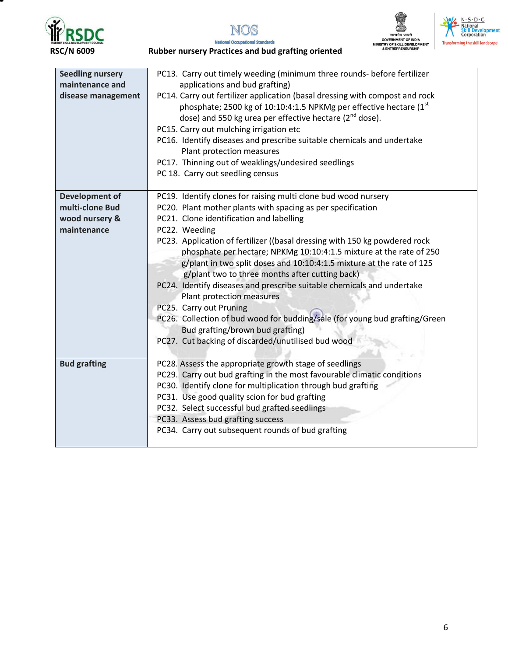

т









| <b>Seedling nursery</b><br>maintenance and<br>disease management | PC13. Carry out timely weeding (minimum three rounds- before fertilizer<br>applications and bud grafting)<br>PC14. Carry out fertilizer application (basal dressing with compost and rock<br>phosphate; 2500 kg of 10:10:4:1.5 NPKMg per effective hectare (1st<br>dose) and 550 kg urea per effective hectare (2 <sup>nd</sup> dose).<br>PC15. Carry out mulching irrigation etc<br>PC16. Identify diseases and prescribe suitable chemicals and undertake<br>Plant protection measures<br>PC17. Thinning out of weaklings/undesired seedlings<br>PC 18. Carry out seedling census |
|------------------------------------------------------------------|-------------------------------------------------------------------------------------------------------------------------------------------------------------------------------------------------------------------------------------------------------------------------------------------------------------------------------------------------------------------------------------------------------------------------------------------------------------------------------------------------------------------------------------------------------------------------------------|
| <b>Development of</b>                                            | PC19. Identify clones for raising multi clone bud wood nursery                                                                                                                                                                                                                                                                                                                                                                                                                                                                                                                      |
| multi-clone Bud                                                  | PC20. Plant mother plants with spacing as per specification                                                                                                                                                                                                                                                                                                                                                                                                                                                                                                                         |
| wood nursery &                                                   | PC21. Clone identification and labelling                                                                                                                                                                                                                                                                                                                                                                                                                                                                                                                                            |
| maintenance                                                      | PC22. Weeding                                                                                                                                                                                                                                                                                                                                                                                                                                                                                                                                                                       |
|                                                                  | PC23. Application of fertilizer ((basal dressing with 150 kg powdered rock                                                                                                                                                                                                                                                                                                                                                                                                                                                                                                          |
|                                                                  | phosphate per hectare; NPKMg 10:10:4:1.5 mixture at the rate of 250                                                                                                                                                                                                                                                                                                                                                                                                                                                                                                                 |
|                                                                  | g/plant in two split doses and 10:10:4:1.5 mixture at the rate of 125                                                                                                                                                                                                                                                                                                                                                                                                                                                                                                               |
|                                                                  | g/plant two to three months after cutting back)<br>PC24. Identify diseases and prescribe suitable chemicals and undertake                                                                                                                                                                                                                                                                                                                                                                                                                                                           |
|                                                                  | Plant protection measures                                                                                                                                                                                                                                                                                                                                                                                                                                                                                                                                                           |
|                                                                  | PC25. Carry out Pruning                                                                                                                                                                                                                                                                                                                                                                                                                                                                                                                                                             |
|                                                                  | PC26. Collection of bud wood for budding/sale (for young bud grafting/Green                                                                                                                                                                                                                                                                                                                                                                                                                                                                                                         |
|                                                                  | Bud grafting/brown bud grafting)                                                                                                                                                                                                                                                                                                                                                                                                                                                                                                                                                    |
|                                                                  | PC27. Cut backing of discarded/unutilised bud wood                                                                                                                                                                                                                                                                                                                                                                                                                                                                                                                                  |
|                                                                  |                                                                                                                                                                                                                                                                                                                                                                                                                                                                                                                                                                                     |
| <b>Bud grafting</b>                                              | PC28. Assess the appropriate growth stage of seedlings                                                                                                                                                                                                                                                                                                                                                                                                                                                                                                                              |
|                                                                  | PC29. Carry out bud grafting in the most favourable climatic conditions                                                                                                                                                                                                                                                                                                                                                                                                                                                                                                             |
|                                                                  | PC30. Identify clone for multiplication through bud grafting                                                                                                                                                                                                                                                                                                                                                                                                                                                                                                                        |
|                                                                  | PC31. Use good quality scion for bud grafting                                                                                                                                                                                                                                                                                                                                                                                                                                                                                                                                       |
|                                                                  | PC32. Select successful bud grafted seedlings                                                                                                                                                                                                                                                                                                                                                                                                                                                                                                                                       |
|                                                                  | PC33. Assess bud grafting success                                                                                                                                                                                                                                                                                                                                                                                                                                                                                                                                                   |
|                                                                  | PC34. Carry out subsequent rounds of bud grafting                                                                                                                                                                                                                                                                                                                                                                                                                                                                                                                                   |
|                                                                  |                                                                                                                                                                                                                                                                                                                                                                                                                                                                                                                                                                                     |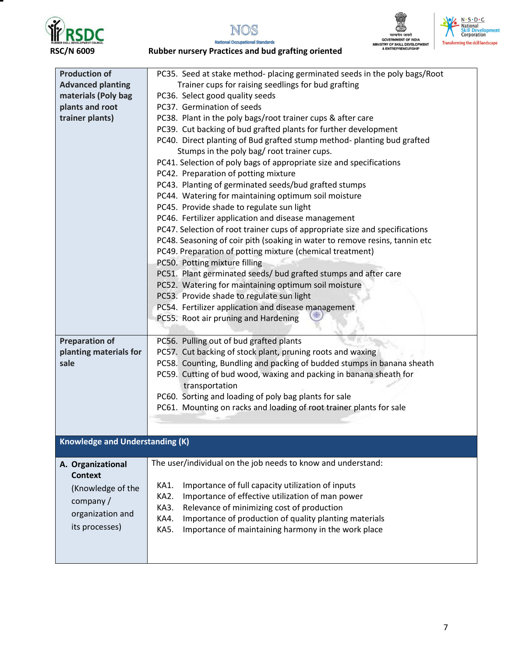







**National Occupational Standards RSC/N 6009 Rubber nursery Practices and bud grafting oriented** 

| <b>Production of</b>            | PC35. Seed at stake method- placing germinated seeds in the poly bags/Root  |
|---------------------------------|-----------------------------------------------------------------------------|
| <b>Advanced planting</b>        | Trainer cups for raising seedlings for bud grafting                         |
| materials (Poly bag             | PC36. Select good quality seeds                                             |
| plants and root                 | PC37. Germination of seeds                                                  |
| trainer plants)                 | PC38. Plant in the poly bags/root trainer cups & after care                 |
|                                 | PC39. Cut backing of bud grafted plants for further development             |
|                                 | PC40. Direct planting of Bud grafted stump method- planting bud grafted     |
|                                 | Stumps in the poly bag/ root trainer cups.                                  |
|                                 | PC41. Selection of poly bags of appropriate size and specifications         |
|                                 | PC42. Preparation of potting mixture                                        |
|                                 | PC43. Planting of germinated seeds/bud grafted stumps                       |
|                                 | PC44. Watering for maintaining optimum soil moisture                        |
|                                 | PC45. Provide shade to regulate sun light                                   |
|                                 | PC46. Fertilizer application and disease management                         |
|                                 | PC47. Selection of root trainer cups of appropriate size and specifications |
|                                 | PC48. Seasoning of coir pith (soaking in water to remove resins, tannin etc |
|                                 | PC49. Preparation of potting mixture (chemical treatment)                   |
|                                 | PC50. Potting mixture filling                                               |
|                                 | PC51. Plant germinated seeds/ bud grafted stumps and after care             |
|                                 | PC52. Watering for maintaining optimum soil moisture                        |
|                                 | PC53. Provide shade to regulate sun light                                   |
|                                 | PC54. Fertilizer application and disease management                         |
|                                 | PC55. Root air pruning and Hardening                                        |
|                                 |                                                                             |
| <b>Preparation of</b>           | PC56. Pulling out of bud grafted plants                                     |
| planting materials for          | PC57. Cut backing of stock plant, pruning roots and waxing                  |
| sale                            | PC58. Counting, Bundling and packing of budded stumps in banana sheath      |
|                                 | PC59. Cutting of bud wood, waxing and packing in banana sheath for          |
|                                 | transportation                                                              |
|                                 | PC60. Sorting and loading of poly bag plants for sale                       |
|                                 | PC61. Mounting on racks and loading of root trainer plants for sale         |
|                                 |                                                                             |
|                                 |                                                                             |
| Knowledge and Understanding (K) |                                                                             |
|                                 |                                                                             |
| A. Organizational               | The user/individual on the job needs to know and understand:                |
| <b>Context</b>                  |                                                                             |
| (Knowledge of the               | Importance of full capacity utilization of inputs<br>KA1.                   |
|                                 | Importance of effective utilization of man power<br>KA2.                    |
| company/                        | Relevance of minimizing cost of production<br>KA3.                          |
| organization and                | Importance of production of quality planting materials<br>KA4.              |
| its processes)                  | Importance of maintaining harmony in the work place<br>KA5.                 |
|                                 |                                                                             |
|                                 |                                                                             |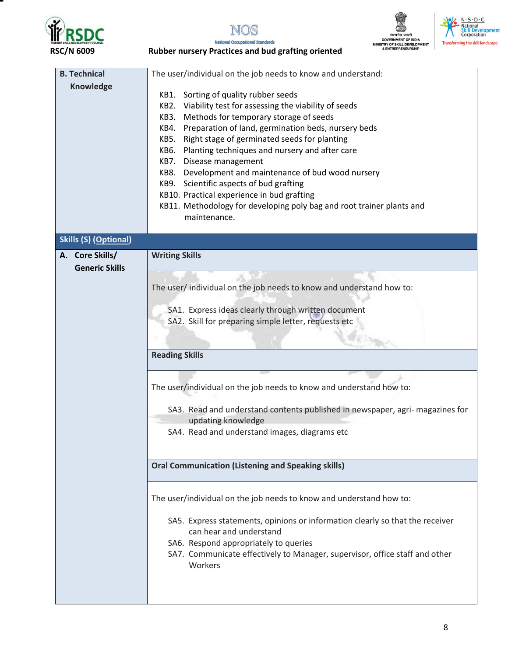







**National Occupational Standards RSC/N 6009 Rubber nursery Practices and bud grafting oriented** 

| <b>B. Technical</b>                                                                                         | The user/individual on the job needs to know and understand:                                               |  |  |
|-------------------------------------------------------------------------------------------------------------|------------------------------------------------------------------------------------------------------------|--|--|
|                                                                                                             |                                                                                                            |  |  |
| Knowledge                                                                                                   | KB1. Sorting of quality rubber seeds                                                                       |  |  |
|                                                                                                             | Viability test for assessing the viability of seeds<br>KB2.<br>KB3. Methods for temporary storage of seeds |  |  |
|                                                                                                             |                                                                                                            |  |  |
|                                                                                                             | Preparation of land, germination beds, nursery beds<br>KB4.                                                |  |  |
|                                                                                                             | Right stage of germinated seeds for planting<br>KB5.                                                       |  |  |
|                                                                                                             | Planting techniques and nursery and after care<br>KB6.                                                     |  |  |
|                                                                                                             | KB7. Disease management                                                                                    |  |  |
|                                                                                                             | KB8. Development and maintenance of bud wood nursery                                                       |  |  |
|                                                                                                             | KB9. Scientific aspects of bud grafting                                                                    |  |  |
|                                                                                                             | KB10. Practical experience in bud grafting                                                                 |  |  |
|                                                                                                             | KB11. Methodology for developing poly bag and root trainer plants and                                      |  |  |
|                                                                                                             | maintenance.                                                                                               |  |  |
|                                                                                                             |                                                                                                            |  |  |
| <b>Skills (S) (Optional)</b>                                                                                |                                                                                                            |  |  |
|                                                                                                             |                                                                                                            |  |  |
| A. Core Skills/                                                                                             | <b>Writing Skills</b>                                                                                      |  |  |
| <b>Generic Skills</b>                                                                                       |                                                                                                            |  |  |
|                                                                                                             |                                                                                                            |  |  |
|                                                                                                             | The user/individual on the job needs to know and understand how to:                                        |  |  |
|                                                                                                             |                                                                                                            |  |  |
| SA1. Express ideas clearly through written document<br>SA2. Skill for preparing simple letter, requests etc |                                                                                                            |  |  |
|                                                                                                             |                                                                                                            |  |  |
|                                                                                                             | <b>Reading Skills</b>                                                                                      |  |  |
|                                                                                                             |                                                                                                            |  |  |
|                                                                                                             | The user/individual on the job needs to know and understand how to:                                        |  |  |
|                                                                                                             |                                                                                                            |  |  |
|                                                                                                             | SA3. Read and understand contents published in newspaper, agri- magazines for                              |  |  |
|                                                                                                             | updating knowledge                                                                                         |  |  |
|                                                                                                             | SA4. Read and understand images, diagrams etc                                                              |  |  |
|                                                                                                             |                                                                                                            |  |  |
|                                                                                                             |                                                                                                            |  |  |
| <b>Oral Communication (Listening and Speaking skills)</b>                                                   |                                                                                                            |  |  |
|                                                                                                             | The user/individual on the job needs to know and understand how to:                                        |  |  |
|                                                                                                             |                                                                                                            |  |  |
|                                                                                                             | SA5. Express statements, opinions or information clearly so that the receiver                              |  |  |
|                                                                                                             | can hear and understand                                                                                    |  |  |
|                                                                                                             | SA6. Respond appropriately to queries                                                                      |  |  |
|                                                                                                             | SA7. Communicate effectively to Manager, supervisor, office staff and other                                |  |  |
|                                                                                                             | Workers                                                                                                    |  |  |
|                                                                                                             |                                                                                                            |  |  |
|                                                                                                             |                                                                                                            |  |  |
|                                                                                                             |                                                                                                            |  |  |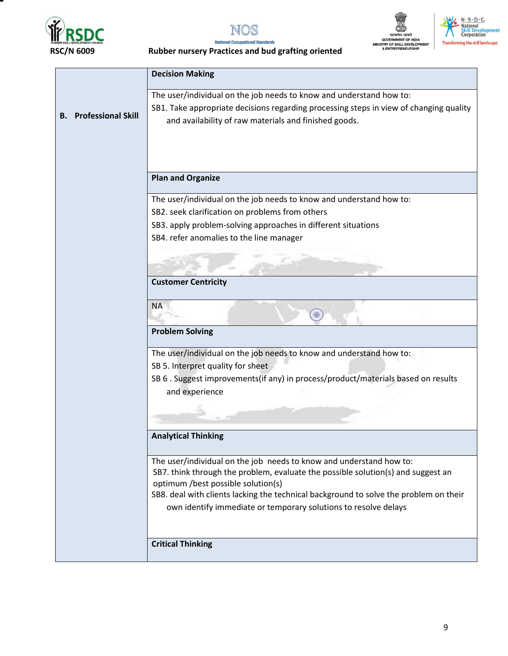









|                                 | <b>Decision Making</b>                                                                 |  |  |
|---------------------------------|----------------------------------------------------------------------------------------|--|--|
|                                 | The user/individual on the job needs to know and understand how to:                    |  |  |
|                                 | SB1. Take appropriate decisions regarding processing steps in view of changing quality |  |  |
| <b>Professional Skill</b><br>В. | and availability of raw materials and finished goods.                                  |  |  |
|                                 |                                                                                        |  |  |
|                                 |                                                                                        |  |  |
|                                 |                                                                                        |  |  |
|                                 | <b>Plan and Organize</b>                                                               |  |  |
|                                 | The user/individual on the job needs to know and understand how to:                    |  |  |
|                                 | SB2. seek clarification on problems from others                                        |  |  |
|                                 | SB3. apply problem-solving approaches in different situations                          |  |  |
|                                 | SB4. refer anomalies to the line manager                                               |  |  |
|                                 |                                                                                        |  |  |
|                                 |                                                                                        |  |  |
|                                 | <b>Customer Centricity</b>                                                             |  |  |
|                                 | <b>NA</b>                                                                              |  |  |
|                                 |                                                                                        |  |  |
|                                 | <b>Problem Solving</b>                                                                 |  |  |
|                                 | The user/individual on the job needs to know and understand how to:                    |  |  |
|                                 | SB 5. Interpret quality for sheet                                                      |  |  |
|                                 | SB 6 . Suggest improvements(if any) in process/product/materials based on results      |  |  |
|                                 | and experience                                                                         |  |  |
|                                 |                                                                                        |  |  |
|                                 |                                                                                        |  |  |
| <b>Analytical Thinking</b>      |                                                                                        |  |  |
|                                 | The user/individual on the job needs to know and understand how to:                    |  |  |
|                                 | SB7. think through the problem, evaluate the possible solution(s) and suggest an       |  |  |
|                                 | optimum /best possible solution(s)                                                     |  |  |
|                                 | SB8. deal with clients lacking the technical background to solve the problem on their  |  |  |
|                                 | own identify immediate or temporary solutions to resolve delays                        |  |  |
|                                 |                                                                                        |  |  |
|                                 | <b>Critical Thinking</b>                                                               |  |  |
|                                 |                                                                                        |  |  |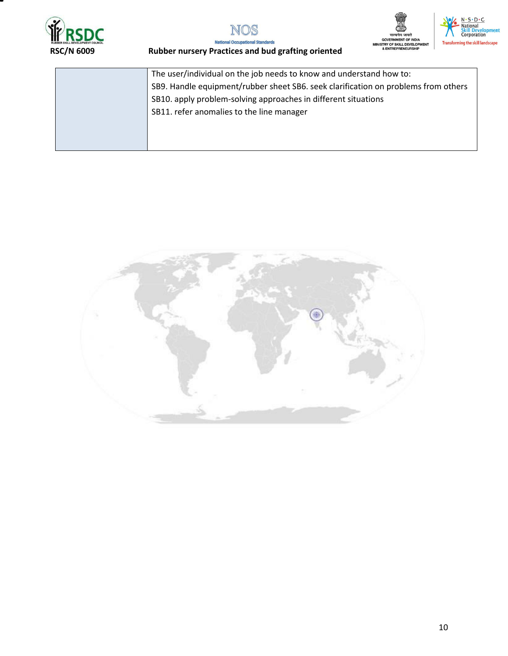







| The user/individual on the job needs to know and understand how to:                |
|------------------------------------------------------------------------------------|
| SB9. Handle equipment/rubber sheet SB6. seek clarification on problems from others |
| SB10. apply problem-solving approaches in different situations                     |
| SB11. refer anomalies to the line manager                                          |
|                                                                                    |
|                                                                                    |

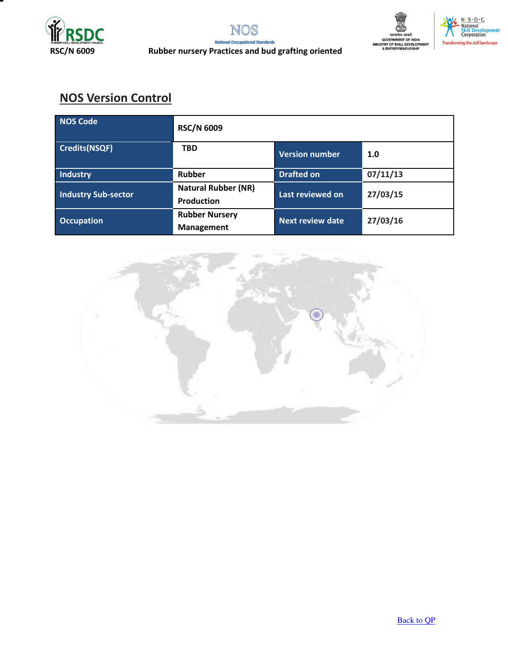



# **NOS Version Control**

| NOS Code                   | <b>RSC/N 6009</b>                               |                         |          |
|----------------------------|-------------------------------------------------|-------------------------|----------|
| <b>Credits(NSQF)</b>       | <b>TBD</b>                                      | <b>Version number</b>   | 1.0      |
| Industry                   | Rubber                                          | <b>Drafted on</b>       | 07/11/13 |
| <b>Industry Sub-sector</b> | <b>Natural Rubber (NR)</b><br><b>Production</b> | Last reviewed on        | 27/03/15 |
| <b>Occupation</b>          | <b>Rubber Nursery</b><br><b>Management</b>      | <b>Next review date</b> | 27/03/16 |

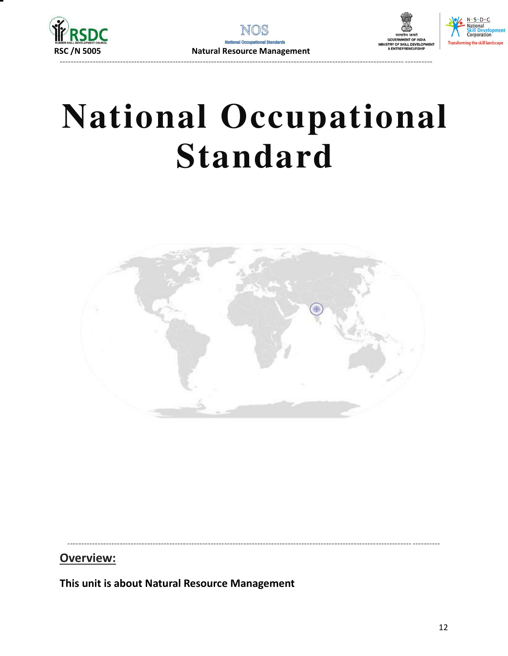



# **National Occupational Standard**



#### Overview:

<span id="page-11-0"></span>This unit is about Natural Resource Management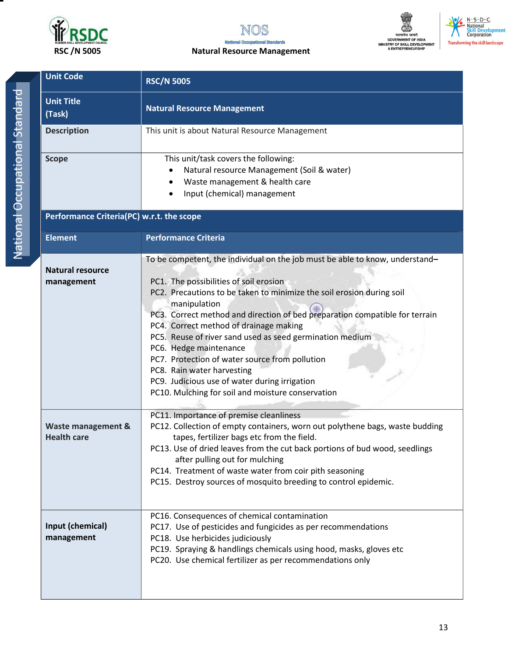



#### RSC /N 5005 **Natural Resource Management**





|   | ì |
|---|---|
|   |   |
|   |   |
|   |   |
|   |   |
|   |   |
|   |   |
|   |   |
|   |   |
|   |   |
|   |   |
|   | I |
|   |   |
|   |   |
|   |   |
|   |   |
|   |   |
|   |   |
|   |   |
|   |   |
|   |   |
| O |   |
|   |   |
|   |   |
|   |   |
|   |   |
|   |   |
|   |   |
|   |   |
|   |   |
|   |   |
|   |   |

| <b>Unit Code</b>                          | <b>RSC/N 5005</b>                                                                                                                                                                                                                                                                                                                                                                                                                                                                                                                                                                                                    |  |  |  |
|-------------------------------------------|----------------------------------------------------------------------------------------------------------------------------------------------------------------------------------------------------------------------------------------------------------------------------------------------------------------------------------------------------------------------------------------------------------------------------------------------------------------------------------------------------------------------------------------------------------------------------------------------------------------------|--|--|--|
| <b>Unit Title</b><br>(Task)               | <b>Natural Resource Management</b>                                                                                                                                                                                                                                                                                                                                                                                                                                                                                                                                                                                   |  |  |  |
| <b>Description</b>                        | This unit is about Natural Resource Management                                                                                                                                                                                                                                                                                                                                                                                                                                                                                                                                                                       |  |  |  |
| <b>Scope</b>                              | This unit/task covers the following:<br>Natural resource Management (Soil & water)<br>Waste management & health care<br>Input (chemical) management                                                                                                                                                                                                                                                                                                                                                                                                                                                                  |  |  |  |
| Performance Criteria(PC) w.r.t. the scope |                                                                                                                                                                                                                                                                                                                                                                                                                                                                                                                                                                                                                      |  |  |  |
| <b>Element</b>                            | <b>Performance Criteria</b>                                                                                                                                                                                                                                                                                                                                                                                                                                                                                                                                                                                          |  |  |  |
| <b>Natural resource</b><br>management     | To be competent, the individual on the job must be able to know, understand-<br>PC1. The possibilities of soil erosion<br>PC2. Precautions to be taken to minimize the soil erosion during soil<br>manipulation<br>PC3. Correct method and direction of bed preparation compatible for terrain<br>PC4. Correct method of drainage making<br>PC5. Reuse of river sand used as seed germination medium<br>PC6. Hedge maintenance<br>PC7. Protection of water source from pollution<br>PC8. Rain water harvesting<br>PC9. Judicious use of water during irrigation<br>PC10. Mulching for soil and moisture conservation |  |  |  |
| Waste management &<br><b>Health care</b>  | PC11. Importance of premise cleanliness<br>PC12. Collection of empty containers, worn out polythene bags, waste budding<br>tapes, fertilizer bags etc from the field.<br>PC13. Use of dried leaves from the cut back portions of bud wood, seedlings<br>after pulling out for mulching<br>PC14. Treatment of waste water from coir pith seasoning<br>PC15. Destroy sources of mosquito breeding to control epidemic.                                                                                                                                                                                                 |  |  |  |
| Input (chemical)<br>management            | PC16. Consequences of chemical contamination<br>PC17. Use of pesticides and fungicides as per recommendations<br>PC18. Use herbicides judiciously<br>PC19. Spraying & handlings chemicals using hood, masks, gloves etc<br>PC20. Use chemical fertilizer as per recommendations only                                                                                                                                                                                                                                                                                                                                 |  |  |  |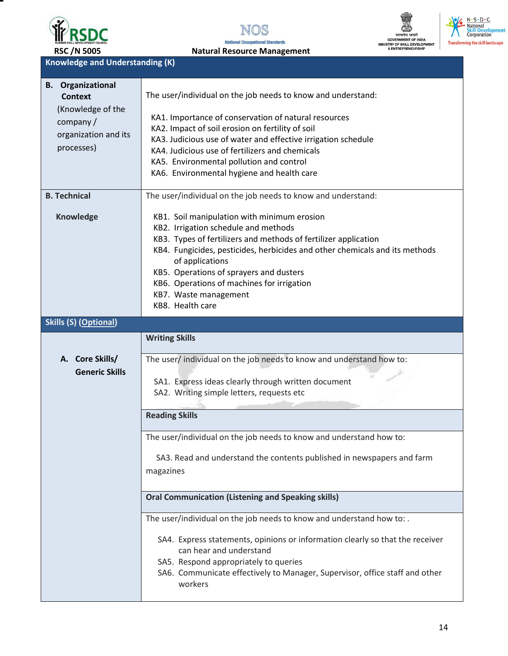

NOS **National Occupational Standards** 



RSC /N 5005 **Natural Resource Management Knowledge and Understanding (K)** 

| <b>B.</b> Organizational<br><b>Context</b><br>(Knowledge of the<br>company/<br>organization and its<br>processes) | The user/individual on the job needs to know and understand:<br>KA1. Importance of conservation of natural resources<br>KA2. Impact of soil erosion on fertility of soil<br>KA3. Judicious use of water and effective irrigation schedule<br>KA4. Judicious use of fertilizers and chemicals<br>KA5. Environmental pollution and control<br>KA6. Environmental hygiene and health care         |
|-------------------------------------------------------------------------------------------------------------------|------------------------------------------------------------------------------------------------------------------------------------------------------------------------------------------------------------------------------------------------------------------------------------------------------------------------------------------------------------------------------------------------|
| <b>B. Technical</b>                                                                                               | The user/individual on the job needs to know and understand:                                                                                                                                                                                                                                                                                                                                   |
| <b>Knowledge</b>                                                                                                  | KB1. Soil manipulation with minimum erosion<br>KB2. Irrigation schedule and methods<br>KB3. Types of fertilizers and methods of fertilizer application<br>KB4. Fungicides, pesticides, herbicides and other chemicals and its methods<br>of applications<br>KB5. Operations of sprayers and dusters<br>KB6. Operations of machines for irrigation<br>KB7. Waste management<br>KB8. Health care |
| <b>Skills (S) (Optional)</b>                                                                                      |                                                                                                                                                                                                                                                                                                                                                                                                |
|                                                                                                                   | <b>Writing Skills</b>                                                                                                                                                                                                                                                                                                                                                                          |
| A. Core Skills/<br><b>Generic Skills</b>                                                                          | The user/ individual on the job needs to know and understand how to:<br>SA1. Express ideas clearly through written document<br>SA2. Writing simple letters, requests etc                                                                                                                                                                                                                       |
|                                                                                                                   | <b>Reading Skills</b>                                                                                                                                                                                                                                                                                                                                                                          |
|                                                                                                                   | The user/individual on the job needs to know and understand how to:<br>SA3. Read and understand the contents published in newspapers and farm<br>magazines                                                                                                                                                                                                                                     |
|                                                                                                                   | <b>Oral Communication (Listening and Speaking skills)</b>                                                                                                                                                                                                                                                                                                                                      |
|                                                                                                                   | The user/individual on the job needs to know and understand how to:.<br>SA4. Express statements, opinions or information clearly so that the receiver<br>can hear and understand<br>SA5. Respond appropriately to queries<br>SA6. Communicate effectively to Manager, Supervisor, office staff and other<br>workers                                                                            |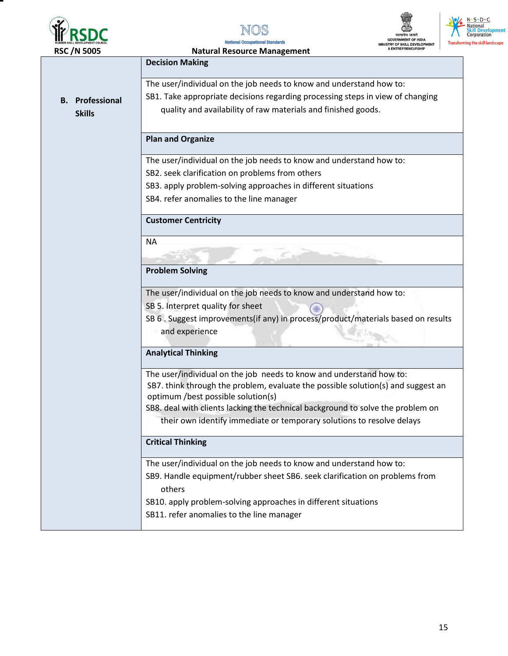







| <b>RSC/N 5005</b>      | <b>Natural Resource Management</b>                                                                                    | & ENTREPRENEURSHIP |
|------------------------|-----------------------------------------------------------------------------------------------------------------------|--------------------|
|                        | <b>Decision Making</b>                                                                                                |                    |
|                        | The user/individual on the job needs to know and understand how to:                                                   |                    |
| <b>B.</b> Professional | SB1. Take appropriate decisions regarding processing steps in view of changing                                        |                    |
| <b>Skills</b>          | quality and availability of raw materials and finished goods.                                                         |                    |
|                        |                                                                                                                       |                    |
|                        | <b>Plan and Organize</b>                                                                                              |                    |
|                        | The user/individual on the job needs to know and understand how to:                                                   |                    |
|                        | SB2. seek clarification on problems from others                                                                       |                    |
|                        | SB3. apply problem-solving approaches in different situations                                                         |                    |
|                        | SB4. refer anomalies to the line manager                                                                              |                    |
|                        | <b>Customer Centricity</b>                                                                                            |                    |
|                        | <b>NA</b>                                                                                                             |                    |
|                        |                                                                                                                       |                    |
|                        | <b>Problem Solving</b>                                                                                                |                    |
|                        | The user/individual on the job needs to know and understand how to:                                                   |                    |
|                        | SB 5. Interpret quality for sheet                                                                                     |                    |
|                        | SB 6 . Suggest improvements(if any) in process/product/materials based on results                                     |                    |
|                        | and experience                                                                                                        |                    |
|                        | <b>Analytical Thinking</b>                                                                                            |                    |
|                        |                                                                                                                       |                    |
|                        | The user/individual on the job needs to know and understand how to:                                                   |                    |
|                        | SB7. think through the problem, evaluate the possible solution(s) and suggest an                                      |                    |
|                        | optimum /best possible solution(s)<br>SB8. deal with clients lacking the technical background to solve the problem on |                    |
|                        | their own identify immediate or temporary solutions to resolve delays                                                 |                    |
|                        |                                                                                                                       |                    |
|                        | <b>Critical Thinking</b>                                                                                              |                    |
|                        | The user/individual on the job needs to know and understand how to:                                                   |                    |
|                        | SB9. Handle equipment/rubber sheet SB6. seek clarification on problems from                                           |                    |
|                        | others                                                                                                                |                    |
|                        | SB10. apply problem-solving approaches in different situations                                                        |                    |
|                        | SB11. refer anomalies to the line manager                                                                             |                    |
|                        |                                                                                                                       |                    |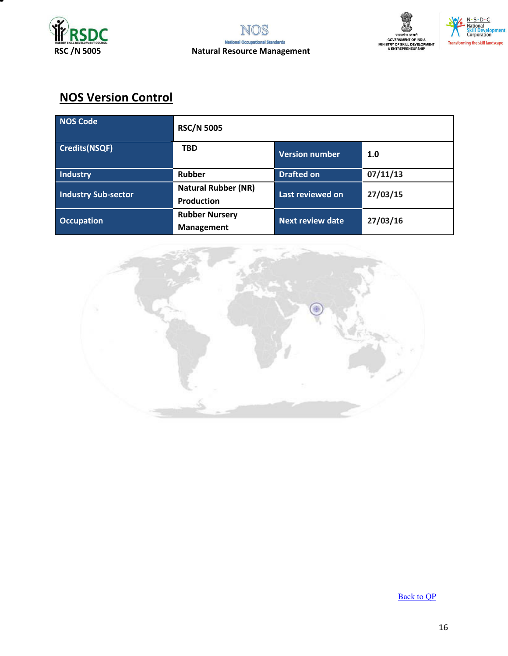



# **NOS Version Control**

| NOS Code                   | <b>RSC/N 5005</b>                               |                         |          |
|----------------------------|-------------------------------------------------|-------------------------|----------|
| <b>Credits(NSQF)</b>       | <b>TBD</b>                                      | <b>Version number</b>   | 1.0      |
| Industry                   | <b>Rubber</b>                                   | <b>Drafted on</b>       | 07/11/13 |
| <b>Industry Sub-sector</b> | <b>Natural Rubber (NR)</b><br><b>Production</b> | Last reviewed on        | 27/03/15 |
| <b>Occupation</b>          | <b>Rubber Nursery</b><br><b>Management</b>      | <b>Next review date</b> | 27/03/16 |



[Back to QP](#page-1-0)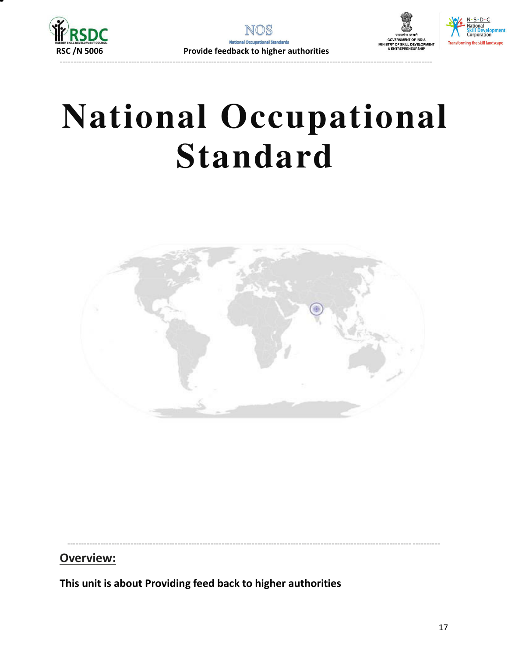



ng the skill landscape





----------------------------------------------------------------------------------------------------------------------------- ----------

#### **Overview:**

<span id="page-16-0"></span>**This unit is about Providing feed back to higher authorities**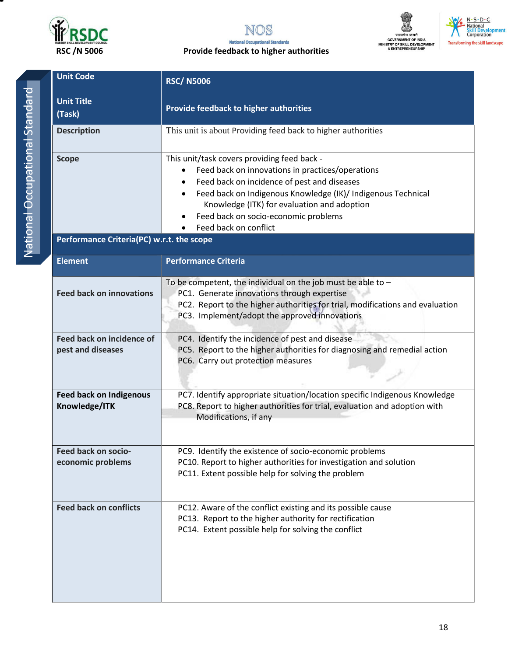



#### **RSC /N 5006 Provide feedback to higher authorities**



 $N \cdot S \cdot D \cdot C$ National<br>Skill Development<br>Corporation

| <b>Unit Code</b>                                      | <b>RSC/N5006</b>                                                                                                                                                                                                                                                                                                                    |  |  |
|-------------------------------------------------------|-------------------------------------------------------------------------------------------------------------------------------------------------------------------------------------------------------------------------------------------------------------------------------------------------------------------------------------|--|--|
| <b>Unit Title</b><br>(Task)                           | Provide feedback to higher authorities                                                                                                                                                                                                                                                                                              |  |  |
| <b>Description</b>                                    | This unit is about Providing feed back to higher authorities                                                                                                                                                                                                                                                                        |  |  |
| <b>Scope</b>                                          | This unit/task covers providing feed back -<br>Feed back on innovations in practices/operations<br>٠<br>Feed back on incidence of pest and diseases<br>Feed back on Indigenous Knowledge (IK)/ Indigenous Technical<br>Knowledge (ITK) for evaluation and adoption<br>Feed back on socio-economic problems<br>Feed back on conflict |  |  |
| Performance Criteria(PC) w.r.t. the scope             |                                                                                                                                                                                                                                                                                                                                     |  |  |
| <b>Element</b>                                        | <b>Performance Criteria</b>                                                                                                                                                                                                                                                                                                         |  |  |
| <b>Feed back on innovations</b>                       | To be competent, the individual on the job must be able to $-$<br>PC1. Generate innovations through expertise<br>PC2. Report to the higher authorities for trial, modifications and evaluation<br>PC3. Implement/adopt the approved innovations                                                                                     |  |  |
| <b>Feed back on incidence of</b><br>pest and diseases | PC4. Identify the incidence of pest and disease<br>PC5. Report to the higher authorities for diagnosing and remedial action<br>PC6. Carry out protection measures                                                                                                                                                                   |  |  |
| <b>Feed back on Indigenous</b><br>Knowledge/ITK       | PC7. Identify appropriate situation/location specific Indigenous Knowledge<br>PC8. Report to higher authorities for trial, evaluation and adoption with<br>Modifications, if any                                                                                                                                                    |  |  |
| Feed back on socio-<br>economic problems              | PC9. Identify the existence of socio-economic problems<br>PC10. Report to higher authorities for investigation and solution<br>PC11. Extent possible help for solving the problem                                                                                                                                                   |  |  |
| <b>Feed back on conflicts</b>                         | PC12. Aware of the conflict existing and its possible cause<br>PC13. Report to the higher authority for rectification<br>PC14. Extent possible help for solving the conflict                                                                                                                                                        |  |  |

18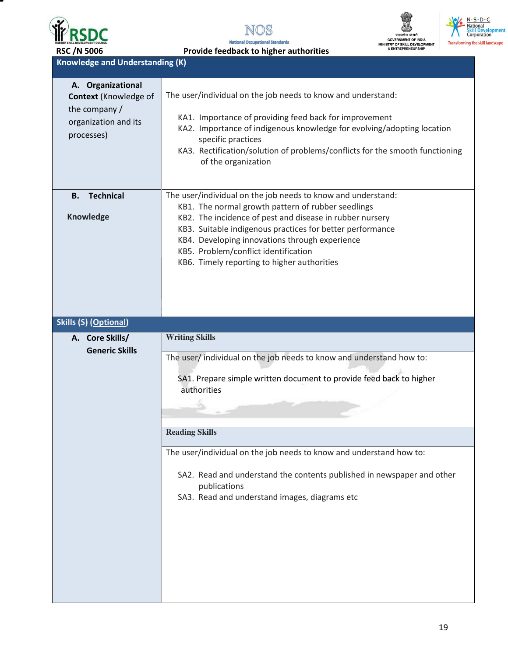





N · S · D · C<br>• National<br>Skill Development<br>Corporation

RSC /N 5006 **Provide feedback to higher authorities** 

**Knowledge and Understanding (K)** 

| A. Organizational<br><b>Context (Knowledge of</b><br>the company /<br>organization and its<br>processes) | The user/individual on the job needs to know and understand:<br>KA1. Importance of providing feed back for improvement<br>KA2. Importance of indigenous knowledge for evolving/adopting location<br>specific practices<br>KA3. Rectification/solution of problems/conflicts for the smooth functioning<br>of the organization                                                        |
|----------------------------------------------------------------------------------------------------------|--------------------------------------------------------------------------------------------------------------------------------------------------------------------------------------------------------------------------------------------------------------------------------------------------------------------------------------------------------------------------------------|
| <b>Technical</b><br>В.<br><b>Knowledge</b>                                                               | The user/individual on the job needs to know and understand:<br>KB1. The normal growth pattern of rubber seedlings<br>KB2. The incidence of pest and disease in rubber nursery<br>KB3. Suitable indigenous practices for better performance<br>KB4. Developing innovations through experience<br>KB5. Problem/conflict identification<br>KB6. Timely reporting to higher authorities |
| <b>Skills (S) (Optional)</b>                                                                             |                                                                                                                                                                                                                                                                                                                                                                                      |
| A. Core Skills/                                                                                          | <b>Writing Skills</b>                                                                                                                                                                                                                                                                                                                                                                |
| <b>Generic Skills</b>                                                                                    | The user/ individual on the job needs to know and understand how to:                                                                                                                                                                                                                                                                                                                 |
|                                                                                                          | SA1. Prepare simple written document to provide feed back to higher<br>authorities                                                                                                                                                                                                                                                                                                   |
|                                                                                                          | <b>Reading Skills</b>                                                                                                                                                                                                                                                                                                                                                                |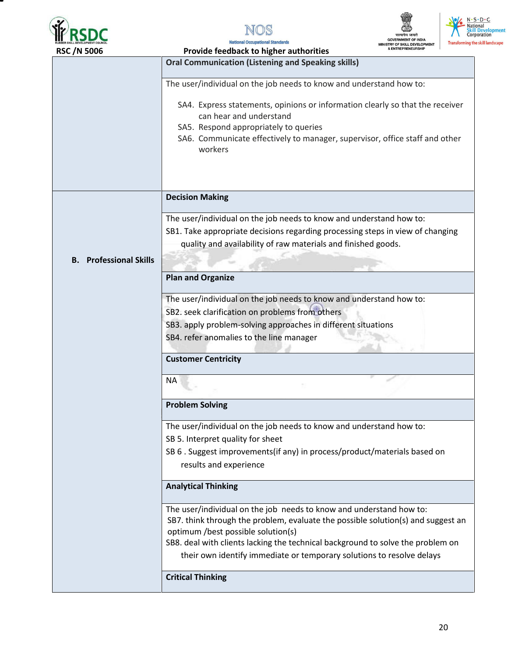







| RSC / IN 5000                    | Provide reedback to higher authorities                                                                                                                                                                                                      |  |  |  |  |  |
|----------------------------------|---------------------------------------------------------------------------------------------------------------------------------------------------------------------------------------------------------------------------------------------|--|--|--|--|--|
|                                  | <b>Oral Communication (Listening and Speaking skills)</b>                                                                                                                                                                                   |  |  |  |  |  |
|                                  | The user/individual on the job needs to know and understand how to:                                                                                                                                                                         |  |  |  |  |  |
|                                  | SA4. Express statements, opinions or information clearly so that the receiver<br>can hear and understand<br>SA5. Respond appropriately to queries<br>SA6. Communicate effectively to manager, supervisor, office staff and other<br>workers |  |  |  |  |  |
|                                  | <b>Decision Making</b>                                                                                                                                                                                                                      |  |  |  |  |  |
|                                  |                                                                                                                                                                                                                                             |  |  |  |  |  |
|                                  | The user/individual on the job needs to know and understand how to:<br>SB1. Take appropriate decisions regarding processing steps in view of changing<br>quality and availability of raw materials and finished goods.                      |  |  |  |  |  |
| <b>Professional Skills</b><br>В. |                                                                                                                                                                                                                                             |  |  |  |  |  |
|                                  | <b>Plan and Organize</b>                                                                                                                                                                                                                    |  |  |  |  |  |
|                                  | The user/individual on the job needs to know and understand how to:                                                                                                                                                                         |  |  |  |  |  |
|                                  |                                                                                                                                                                                                                                             |  |  |  |  |  |
|                                  | SB2. seek clarification on problems from others                                                                                                                                                                                             |  |  |  |  |  |
|                                  | SB3. apply problem-solving approaches in different situations                                                                                                                                                                               |  |  |  |  |  |
|                                  | SB4. refer anomalies to the line manager                                                                                                                                                                                                    |  |  |  |  |  |
|                                  | <b>Customer Centricity</b>                                                                                                                                                                                                                  |  |  |  |  |  |
|                                  |                                                                                                                                                                                                                                             |  |  |  |  |  |
|                                  | <b>NA</b>                                                                                                                                                                                                                                   |  |  |  |  |  |
|                                  | <b>Problem Solving</b>                                                                                                                                                                                                                      |  |  |  |  |  |
|                                  | The user/individual on the job needs to know and understand how to:                                                                                                                                                                         |  |  |  |  |  |
|                                  | SB 5. Interpret quality for sheet                                                                                                                                                                                                           |  |  |  |  |  |
|                                  | SB 6. Suggest improvements(if any) in process/product/materials based on                                                                                                                                                                    |  |  |  |  |  |
|                                  | results and experience                                                                                                                                                                                                                      |  |  |  |  |  |
|                                  | <b>Analytical Thinking</b>                                                                                                                                                                                                                  |  |  |  |  |  |
|                                  | The user/individual on the job needs to know and understand how to:                                                                                                                                                                         |  |  |  |  |  |
|                                  | SB7. think through the problem, evaluate the possible solution(s) and suggest an                                                                                                                                                            |  |  |  |  |  |
|                                  | optimum /best possible solution(s)                                                                                                                                                                                                          |  |  |  |  |  |
|                                  | SB8. deal with clients lacking the technical background to solve the problem on                                                                                                                                                             |  |  |  |  |  |
|                                  | their own identify immediate or temporary solutions to resolve delays                                                                                                                                                                       |  |  |  |  |  |
|                                  | <b>Critical Thinking</b>                                                                                                                                                                                                                    |  |  |  |  |  |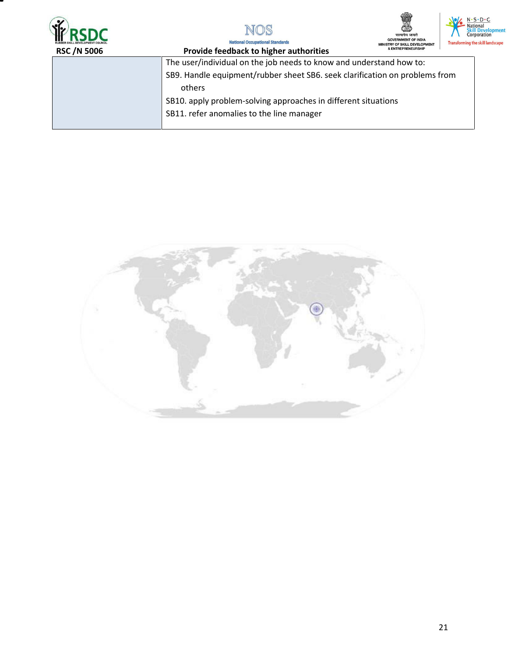





N·S·D·C<br>- National<br>Skill Development<br>Corporation **Transforming the skill landscape** 

Natio nal Standards nal Occu

| <b>RSC/N 5006</b> | & ENTREPRENEURSHIP<br>Provide feedback to higher authorities                |
|-------------------|-----------------------------------------------------------------------------|
|                   | The user/individual on the job needs to know and understand how to:         |
|                   | SB9. Handle equipment/rubber sheet SB6. seek clarification on problems from |
|                   | others                                                                      |
|                   | SB10. apply problem-solving approaches in different situations              |
|                   | SB11. refer anomalies to the line manager                                   |
|                   |                                                                             |

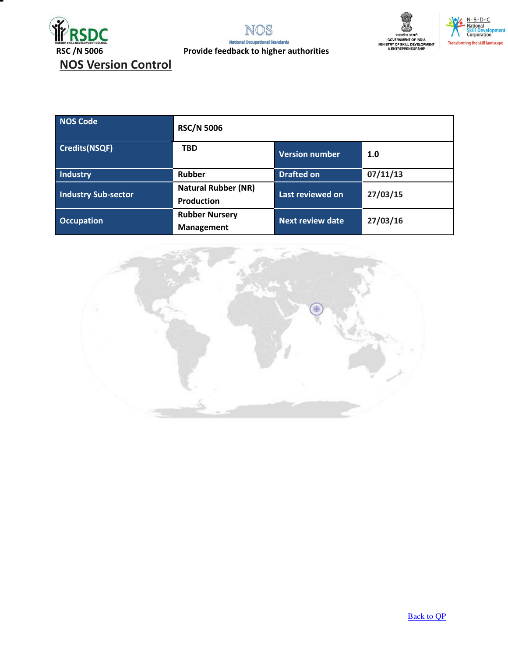





RSC /N 5006 **Provide feedback to higher authorities** 

| <b>NOS Code</b>            | <b>RSC/N 5006</b>                               |                         |          |
|----------------------------|-------------------------------------------------|-------------------------|----------|
| <b>Credits(NSQF)</b>       | <b>TBD</b>                                      | <b>Version number</b>   | 1.0      |
| Industry                   | Rubber                                          | <b>Drafted on</b>       | 07/11/13 |
| <b>Industry Sub-sector</b> | <b>Natural Rubber (NR)</b><br><b>Production</b> | Last reviewed on        | 27/03/15 |
| <b>Occupation</b>          | <b>Rubber Nursery</b><br><b>Management</b>      | <b>Next review date</b> | 27/03/16 |

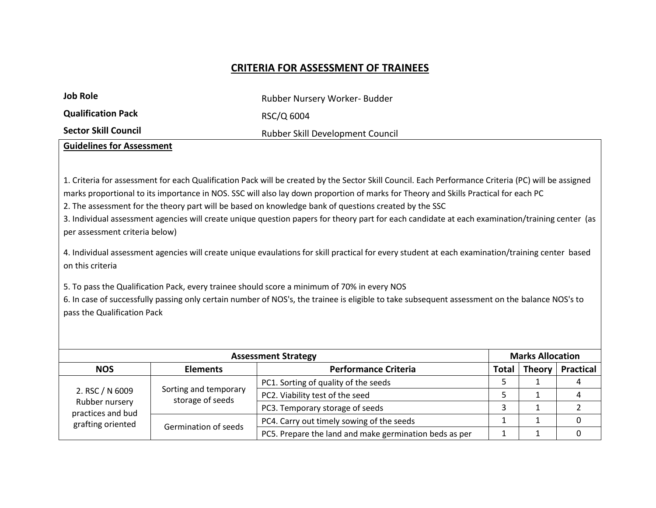#### **CRITERIA FOR ASSESSMENT OF TRAINEES**

| <b>Job Role</b>                                                                                       | Rubber Nursery Worker- Budder                                                                                                                                                                                                                                                              |
|-------------------------------------------------------------------------------------------------------|--------------------------------------------------------------------------------------------------------------------------------------------------------------------------------------------------------------------------------------------------------------------------------------------|
| <b>Qualification Pack</b>                                                                             | RSC/Q 6004                                                                                                                                                                                                                                                                                 |
| <b>Sector Skill Council</b>                                                                           | Rubber Skill Development Council                                                                                                                                                                                                                                                           |
| <b>Guidelines for Assessment</b>                                                                      |                                                                                                                                                                                                                                                                                            |
|                                                                                                       |                                                                                                                                                                                                                                                                                            |
|                                                                                                       | 1. Criteria for assessment for each Qualification Pack will be created by the Sector Skill Council. Each Performance Criteria (PC) will be assigned<br>marks proportional to its importance in NOS. SSC will also lay down proportion of marks for Theory and Skills Practical for each PC |
| 2. The assessment for the theory part will be based on knowledge bank of questions created by the SSC |                                                                                                                                                                                                                                                                                            |

3. Individual assessment agencies will create unique question papers for theory part for each candidate at each examination/training center (as per assessment criteria below)

4. Individual assessment agencies will create unique evaulations for skill practical for every student at each examination/training center based on this criteria

5. To pass the Qualification Pack, every trainee should score a minimum of 70% in every NOS

6. In case of successfully passing only certain number of NOS's, the trainee is eligible to take subsequent assessment on the balance NOS's to pass the Qualification Pack

| <b>Assessment Strategy</b>                                                  |                                           |                                                        | <b>Marks Allocation</b> |               |                  |
|-----------------------------------------------------------------------------|-------------------------------------------|--------------------------------------------------------|-------------------------|---------------|------------------|
| <b>NOS</b>                                                                  | <b>Elements</b>                           | <b>Performance Criteria</b>                            | Total                   | <b>Theory</b> | <b>Practical</b> |
| 2. RSC / N 6009<br>Rubber nursery<br>practices and bud<br>grafting oriented | Sorting and temporary<br>storage of seeds | PC1. Sorting of quality of the seeds                   |                         |               |                  |
|                                                                             |                                           | PC2. Viability test of the seed                        |                         |               |                  |
|                                                                             |                                           | PC3. Temporary storage of seeds                        |                         |               |                  |
|                                                                             | Germination of seeds                      | PC4. Carry out timely sowing of the seeds              |                         |               |                  |
|                                                                             |                                           | PC5. Prepare the land and make germination beds as per |                         |               |                  |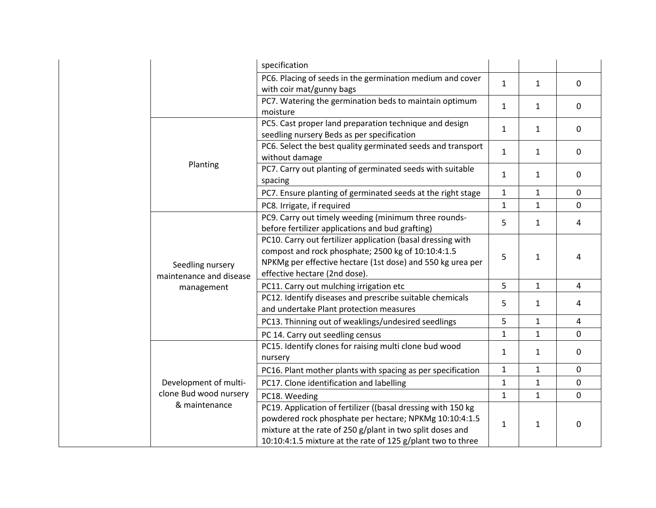|                                             | specification                                                                                                                                                                                                                                      |              |              |                |
|---------------------------------------------|----------------------------------------------------------------------------------------------------------------------------------------------------------------------------------------------------------------------------------------------------|--------------|--------------|----------------|
|                                             | PC6. Placing of seeds in the germination medium and cover                                                                                                                                                                                          | $\mathbf{1}$ | $\mathbf{1}$ | $\mathbf 0$    |
|                                             | with coir mat/gunny bags                                                                                                                                                                                                                           |              |              |                |
|                                             | PC7. Watering the germination beds to maintain optimum<br>moisture                                                                                                                                                                                 | $\mathbf{1}$ | 1            | $\mathbf 0$    |
|                                             | PC5. Cast proper land preparation technique and design<br>seedling nursery Beds as per specification                                                                                                                                               | 1            | 1            | $\mathbf 0$    |
|                                             | PC6. Select the best quality germinated seeds and transport<br>without damage                                                                                                                                                                      | $\mathbf{1}$ | 1            | $\mathbf 0$    |
| Planting                                    | PC7. Carry out planting of germinated seeds with suitable<br>spacing                                                                                                                                                                               | $\mathbf{1}$ | 1            | $\mathbf 0$    |
|                                             | PC7. Ensure planting of germinated seeds at the right stage                                                                                                                                                                                        | 1            | $\mathbf{1}$ | $\mathbf 0$    |
|                                             | PC8. Irrigate, if required                                                                                                                                                                                                                         | 1            | 1            | $\mathbf{0}$   |
|                                             | PC9. Carry out timely weeding (minimum three rounds-<br>before fertilizer applications and bud grafting)                                                                                                                                           | 5            | 1            | $\overline{4}$ |
| Seedling nursery<br>maintenance and disease | PC10. Carry out fertilizer application (basal dressing with<br>compost and rock phosphate; 2500 kg of 10:10:4:1.5<br>NPKMg per effective hectare (1st dose) and 550 kg urea per<br>effective hectare (2nd dose).                                   | 5            | $\mathbf{1}$ | 4              |
| management                                  | PC11. Carry out mulching irrigation etc                                                                                                                                                                                                            | 5            | $\mathbf{1}$ | $\overline{4}$ |
|                                             | PC12. Identify diseases and prescribe suitable chemicals<br>and undertake Plant protection measures                                                                                                                                                | 5            | 1            | 4              |
|                                             | PC13. Thinning out of weaklings/undesired seedlings                                                                                                                                                                                                | 5            | 1            | $\overline{4}$ |
|                                             | PC 14. Carry out seedling census                                                                                                                                                                                                                   | $\mathbf{1}$ | $\mathbf{1}$ | $\mathbf 0$    |
|                                             | PC15. Identify clones for raising multi clone bud wood<br>nursery                                                                                                                                                                                  | 1            | 1            | $\mathbf 0$    |
|                                             | PC16. Plant mother plants with spacing as per specification                                                                                                                                                                                        | $\mathbf{1}$ | $\mathbf{1}$ | $\mathbf{0}$   |
| Development of multi-                       | PC17. Clone identification and labelling                                                                                                                                                                                                           | 1            | 1            | $\mathbf 0$    |
| clone Bud wood nursery                      | PC18. Weeding                                                                                                                                                                                                                                      | 1            | $\mathbf{1}$ | $\overline{0}$ |
| & maintenance                               | PC19. Application of fertilizer ((basal dressing with 150 kg<br>powdered rock phosphate per hectare; NPKMg 10:10:4:1.5<br>mixture at the rate of 250 g/plant in two split doses and<br>10:10:4:1.5 mixture at the rate of 125 g/plant two to three | 1            | $\mathbf{1}$ | 0              |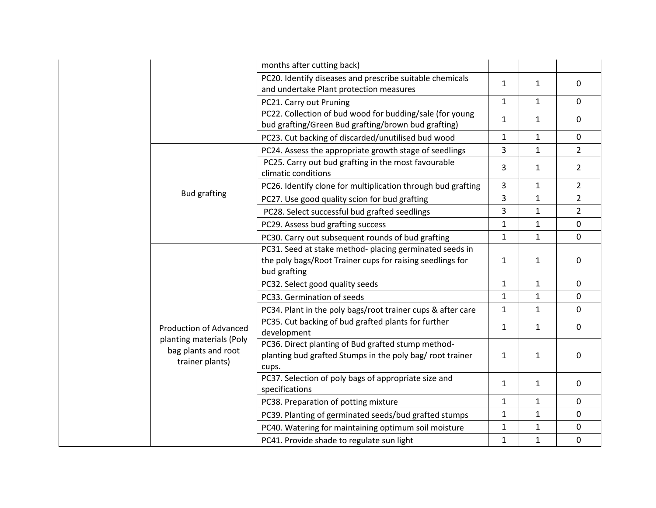|                                                                    | months after cutting back)                                                                                                           |              |              |                |
|--------------------------------------------------------------------|--------------------------------------------------------------------------------------------------------------------------------------|--------------|--------------|----------------|
|                                                                    | PC20. Identify diseases and prescribe suitable chemicals<br>and undertake Plant protection measures                                  | $\mathbf{1}$ | $\mathbf{1}$ | $\mathbf 0$    |
|                                                                    | PC21. Carry out Pruning                                                                                                              | 1            | $\mathbf{1}$ | $\mathbf 0$    |
|                                                                    | PC22. Collection of bud wood for budding/sale (for young<br>bud grafting/Green Bud grafting/brown bud grafting)                      | $\mathbf{1}$ | 1            | $\mathbf 0$    |
|                                                                    | PC23. Cut backing of discarded/unutilised bud wood                                                                                   | 1            | 1            | $\mathbf 0$    |
|                                                                    | PC24. Assess the appropriate growth stage of seedlings                                                                               | 3            | $\mathbf{1}$ | $\overline{2}$ |
|                                                                    | PC25. Carry out bud grafting in the most favourable<br>climatic conditions                                                           | 3            | 1            | $\overline{2}$ |
|                                                                    | PC26. Identify clone for multiplication through bud grafting                                                                         | 3            | $\mathbf{1}$ | $\overline{2}$ |
| <b>Bud grafting</b>                                                | PC27. Use good quality scion for bud grafting                                                                                        | 3            | $\mathbf{1}$ | $\overline{2}$ |
|                                                                    | PC28. Select successful bud grafted seedlings                                                                                        | 3            | $\mathbf{1}$ | $\overline{2}$ |
|                                                                    | PC29. Assess bud grafting success                                                                                                    | $\mathbf{1}$ | $\mathbf{1}$ | $\mathbf{0}$   |
|                                                                    | PC30. Carry out subsequent rounds of bud grafting                                                                                    | 1            | $\mathbf{1}$ | $\mathbf 0$    |
|                                                                    | PC31. Seed at stake method- placing germinated seeds in<br>the poly bags/Root Trainer cups for raising seedlings for<br>bud grafting | 1            | $\mathbf{1}$ | $\mathbf 0$    |
|                                                                    | PC32. Select good quality seeds                                                                                                      | $\mathbf 1$  | $\mathbf{1}$ | $\mathbf 0$    |
|                                                                    | PC33. Germination of seeds                                                                                                           | $\mathbf{1}$ | $\mathbf{1}$ | $\mathbf 0$    |
|                                                                    | PC34. Plant in the poly bags/root trainer cups & after care                                                                          | 1            | 1            | 0              |
| <b>Production of Advanced</b>                                      | PC35. Cut backing of bud grafted plants for further<br>development                                                                   | $\mathbf{1}$ | 1            | $\mathbf 0$    |
| planting materials (Poly<br>bag plants and root<br>trainer plants) | PC36. Direct planting of Bud grafted stump method-<br>planting bud grafted Stumps in the poly bag/ root trainer<br>cups.             | $\mathbf{1}$ | 1            | $\mathbf 0$    |
|                                                                    | PC37. Selection of poly bags of appropriate size and<br>specifications                                                               | 1            | $\mathbf{1}$ | $\mathbf 0$    |
|                                                                    | PC38. Preparation of potting mixture                                                                                                 | 1            | $\mathbf{1}$ | $\mathbf 0$    |
|                                                                    | PC39. Planting of germinated seeds/bud grafted stumps                                                                                | $\mathbf{1}$ | $\mathbf{1}$ | $\mathbf 0$    |
|                                                                    | PC40. Watering for maintaining optimum soil moisture                                                                                 | $\mathbf{1}$ | $\mathbf{1}$ | $\mathbf 0$    |
|                                                                    | PC41. Provide shade to regulate sun light                                                                                            | $\mathbf 1$  | $\mathbf{1}$ | $\pmb{0}$      |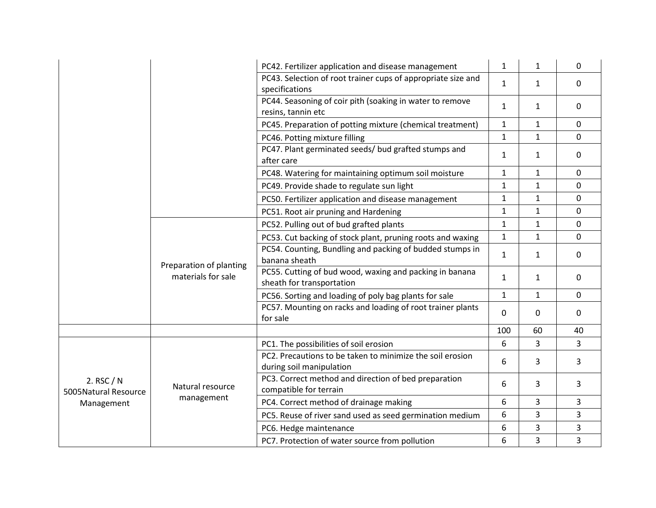|                                    |                                                | PC42. Fertilizer application and disease management                                   | $\mathbf{1}$ | $\mathbf{1}$ | $\mathbf 0$ |
|------------------------------------|------------------------------------------------|---------------------------------------------------------------------------------------|--------------|--------------|-------------|
|                                    |                                                | PC43. Selection of root trainer cups of appropriate size and<br>specifications        | $\mathbf{1}$ | $\mathbf{1}$ | $\mathbf 0$ |
|                                    |                                                | PC44. Seasoning of coir pith (soaking in water to remove<br>resins, tannin etc        | $\mathbf{1}$ | $\mathbf{1}$ | $\mathbf 0$ |
|                                    |                                                | PC45. Preparation of potting mixture (chemical treatment)                             | $\mathbf{1}$ | $\mathbf{1}$ | $\mathbf 0$ |
|                                    |                                                | PC46. Potting mixture filling                                                         | $\mathbf{1}$ | $\mathbf{1}$ | 0           |
|                                    |                                                | PC47. Plant germinated seeds/ bud grafted stumps and<br>after care                    | $\mathbf{1}$ | $\mathbf{1}$ | 0           |
|                                    |                                                | PC48. Watering for maintaining optimum soil moisture                                  | $\mathbf{1}$ | $\mathbf{1}$ | 0           |
|                                    |                                                | PC49. Provide shade to regulate sun light                                             | 1            | $\mathbf{1}$ | $\mathbf 0$ |
|                                    |                                                | PC50. Fertilizer application and disease management                                   | $\mathbf{1}$ | $\mathbf{1}$ | 0           |
|                                    |                                                | PC51. Root air pruning and Hardening                                                  | $\mathbf{1}$ | 1            | $\Omega$    |
|                                    | Preparation of planting<br>materials for sale  | PC52. Pulling out of bud grafted plants                                               | $\mathbf{1}$ | $\mathbf{1}$ | 0           |
|                                    |                                                | PC53. Cut backing of stock plant, pruning roots and waxing                            | $\mathbf{1}$ | $\mathbf{1}$ | $\mathbf 0$ |
|                                    |                                                | PC54. Counting, Bundling and packing of budded stumps in<br>banana sheath             | $\mathbf{1}$ | $\mathbf{1}$ | 0           |
|                                    |                                                | PC55. Cutting of bud wood, waxing and packing in banana<br>sheath for transportation  | $\mathbf{1}$ | $\mathbf{1}$ | $\mathbf 0$ |
|                                    |                                                | PC56. Sorting and loading of poly bag plants for sale                                 | $\mathbf{1}$ | 1            | 0           |
|                                    |                                                | PC57. Mounting on racks and loading of root trainer plants<br>for sale                | 0            | $\Omega$     | 0           |
|                                    |                                                |                                                                                       | 100          | 60           | 40          |
|                                    |                                                | PC1. The possibilities of soil erosion                                                | 6            | 3            | 3           |
|                                    |                                                | PC2. Precautions to be taken to minimize the soil erosion<br>during soil manipulation | 6            | 3            | 3           |
| 2. RSC / N<br>5005Natural Resource | Natural resource                               | PC3. Correct method and direction of bed preparation<br>compatible for terrain        | 6            | 3            | 3           |
| Management                         | management                                     | PC4. Correct method of drainage making                                                | 6            | 3            | 3           |
|                                    |                                                | PC5. Reuse of river sand used as seed germination medium                              | 6            | 3            | 3           |
|                                    |                                                | PC6. Hedge maintenance                                                                | 6            | 3            | 3           |
|                                    | PC7. Protection of water source from pollution | 6                                                                                     | 3            | 3            |             |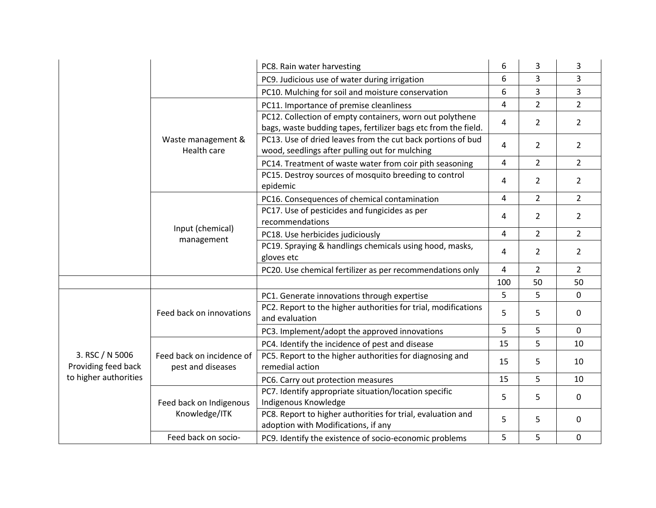|                                        |                                                | PC8. Rain water harvesting                                                                                                 | 6   | 3              | 3              |
|----------------------------------------|------------------------------------------------|----------------------------------------------------------------------------------------------------------------------------|-----|----------------|----------------|
|                                        |                                                | PC9. Judicious use of water during irrigation                                                                              | 6   | 3              | 3              |
|                                        |                                                | PC10. Mulching for soil and moisture conservation                                                                          | 6   | 3              | 3              |
|                                        |                                                | PC11. Importance of premise cleanliness                                                                                    | 4   | $\overline{2}$ | $\overline{2}$ |
|                                        | Waste management &<br>Health care              | PC12. Collection of empty containers, worn out polythene<br>bags, waste budding tapes, fertilizer bags etc from the field. | 4   | $\overline{2}$ | $\overline{2}$ |
|                                        |                                                | PC13. Use of dried leaves from the cut back portions of bud<br>wood, seedlings after pulling out for mulching              | 4   | $\overline{2}$ | $\overline{2}$ |
|                                        |                                                | PC14. Treatment of waste water from coir pith seasoning                                                                    | 4   | $\overline{2}$ | $\overline{2}$ |
|                                        |                                                | PC15. Destroy sources of mosquito breeding to control<br>epidemic                                                          | 4   | $\overline{2}$ | $\overline{2}$ |
|                                        | Input (chemical)<br>management                 | PC16. Consequences of chemical contamination                                                                               | 4   | $\overline{2}$ | $\overline{2}$ |
|                                        |                                                | PC17. Use of pesticides and fungicides as per<br>recommendations                                                           | 4   | $\overline{2}$ | $\overline{2}$ |
|                                        |                                                | PC18. Use herbicides judiciously                                                                                           | 4   | $\overline{2}$ | $\overline{2}$ |
|                                        |                                                | PC19. Spraying & handlings chemicals using hood, masks,<br>gloves etc                                                      | 4   | $\overline{2}$ | $\overline{2}$ |
|                                        |                                                | PC20. Use chemical fertilizer as per recommendations only                                                                  | 4   | $\overline{2}$ | $\overline{2}$ |
|                                        |                                                |                                                                                                                            | 100 | 50             | 50             |
|                                        | Feed back on innovations                       | PC1. Generate innovations through expertise                                                                                | 5   | 5              | $\mathbf 0$    |
|                                        |                                                | PC2. Report to the higher authorities for trial, modifications<br>and evaluation                                           | 5   | 5              | $\mathbf 0$    |
|                                        |                                                | PC3. Implement/adopt the approved innovations                                                                              | 5   | 5              | $\mathbf 0$    |
|                                        |                                                | PC4. Identify the incidence of pest and disease                                                                            | 15  | 5              | 10             |
| 3. RSC / N 5006<br>Providing feed back | Feed back on incidence of<br>pest and diseases | PC5. Report to the higher authorities for diagnosing and<br>remedial action                                                | 15  | 5              | 10             |
| to higher authorities                  |                                                | PC6. Carry out protection measures                                                                                         | 15  | 5              | 10             |
|                                        | Feed back on Indigenous<br>Knowledge/ITK       | PC7. Identify appropriate situation/location specific<br>Indigenous Knowledge                                              | 5   | 5              | $\Omega$       |
|                                        |                                                | PC8. Report to higher authorities for trial, evaluation and<br>adoption with Modifications, if any                         | 5   | 5              | 0              |
|                                        | Feed back on socio-                            | PC9. Identify the existence of socio-economic problems                                                                     | 5   | 5              | 0              |